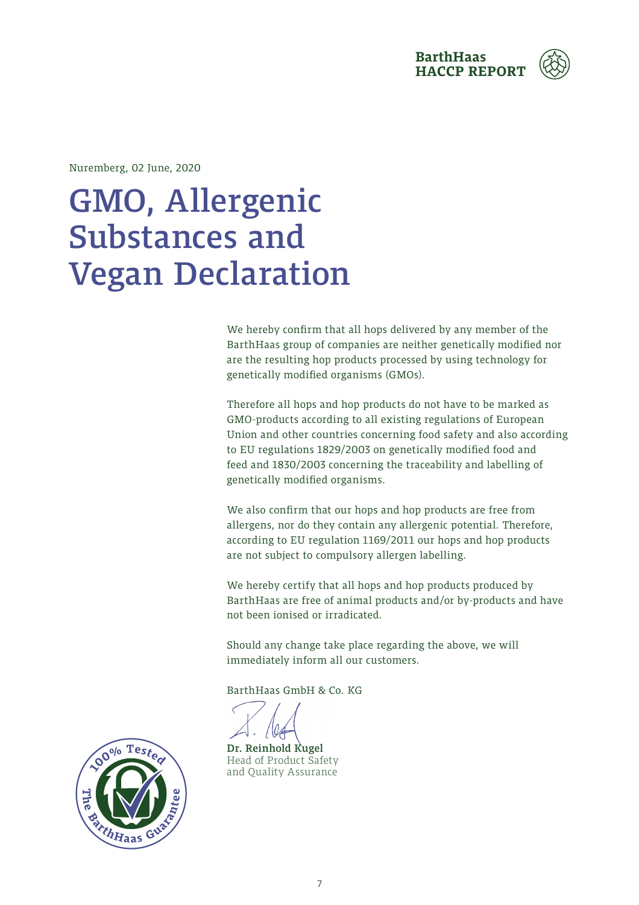

Nuremberg, 02 June, 2020

## GMO, Allergenic Substances and Vegan Declaration

We hereby confirm that all hops delivered by any member of the BarthHaas group of companies are neither genetically modified nor are the resulting hop products processed by using technology for genetically modified organisms (GMOs).

Therefore all hops and hop products do not have to be marked as GMO-products according to all existing regulations of European Union and other countries concerning food safety and also according to EU regulations 1829/2003 on genetically modified food and feed and 1830/2003 concerning the traceability and labelling of genetically modified organisms.

We also confirm that our hops and hop products are free from allergens, nor do they contain any allergenic potential. Therefore, according to EU regulation 1169/2011 our hops and hop products are not subject to compulsory allergen labelling.

We hereby certify that all hops and hop products produced by BarthHaas are free of animal products and/or by-products and have not been ionised or irradicated.

Should any change take place regarding the above, we will immediately inform all our customers.

BarthHaas GmbH & Co. KG

Dr. Reinhold Kugel Head of Product Safety and Quality Assurance